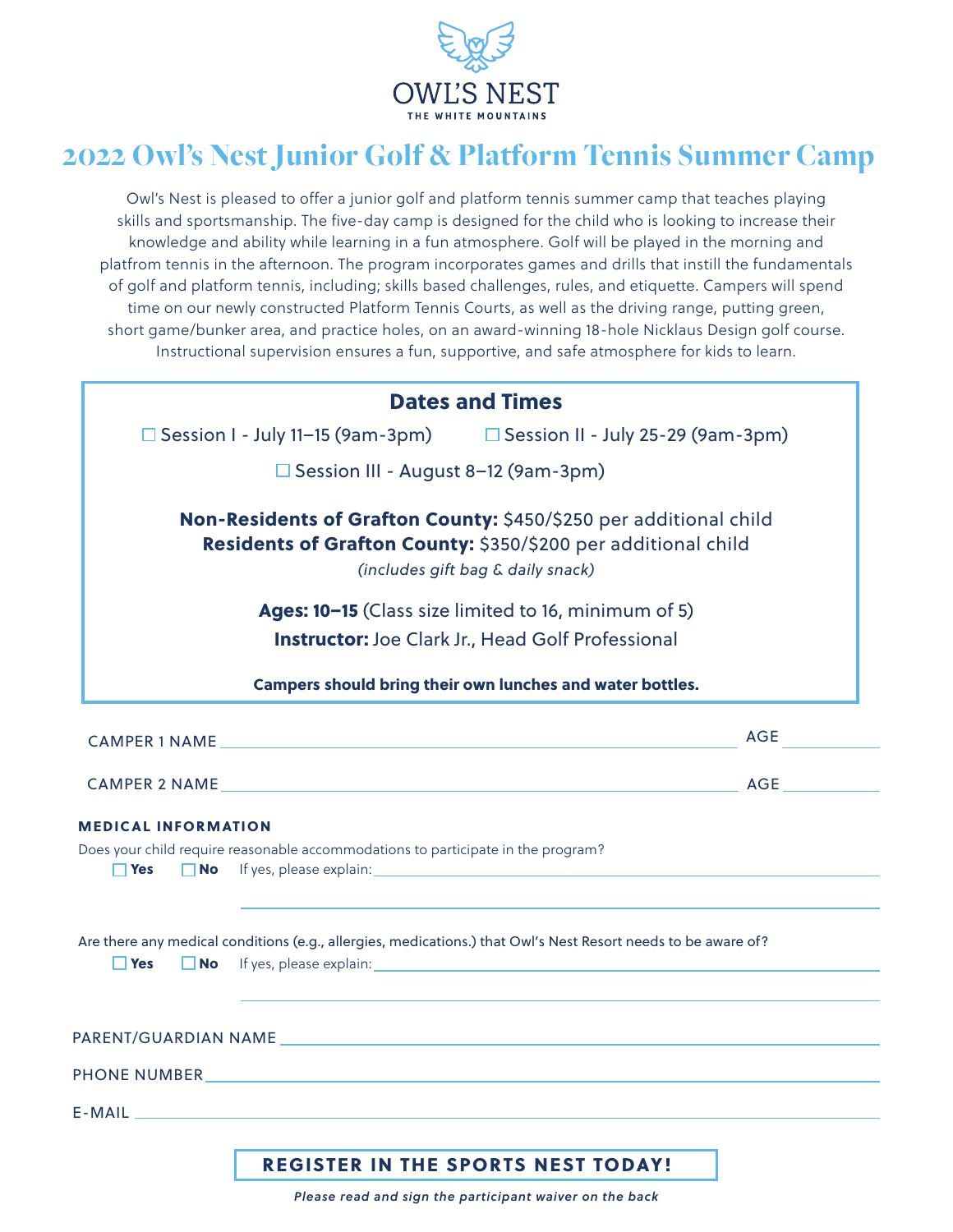

# 2022 Owl's Nest Junior Golf & Platform Tennis Summer Camp

Owl's Nest is pleased to offer a junior golf and platform tennis summer camp that teaches playing skills and sportsmanship. The five-day camp is designed for the child who is looking to increase their knowledge and ability while learning in a fun atmosphere. Golf will be played in the morning and platfrom tennis in the afternoon. The program incorporates games and drills that instill the fundamentals of golf and platform tennis, including; skills based challenges, rules, and etiquette. Campers will spend time on our newly constructed Platform Tennis Courts, as well as the driving range, putting green, short game/bunker area, and practice holes, on an award-winning 18-hole Nicklaus Design golf course. Instructional supervision ensures a fun, supportive, and safe atmosphere for kids to learn.

| <b>Dates and Times</b><br>$\Box$ Session I - July 11-15 (9am-3pm) $\Box$ Session II - July 25-29 (9am-3pm)<br>□ Session III - August 8-12 (9am-3pm)<br>Non-Residents of Grafton County: \$450/\$250 per additional child<br>Residents of Grafton County: \$350/\$200 per additional child<br>(includes gift bag & daily snack)<br>Ages: 10-15 (Class size limited to 16, minimum of 5)<br><b>Instructor:</b> Joe Clark Jr., Head Golf Professional<br>Campers should bring their own lunches and water bottles.<br>No If yes, please explain: No Separate and Separate and Separate and Separate and Separate and Separate and Separate and Separate and Separate and Separate and Separate and Separate and Separate and Separate and Separate a<br>$\Box$ Yes<br>$\Box$ Yes<br><b>No</b> If yes, please explain: <b>All and the set of the set of the set of the set of the set of the set of the set of the set of the set of the set of the set of the set of the set of the set of the set of the set of the set </b> |            |
|----------------------------------------------------------------------------------------------------------------------------------------------------------------------------------------------------------------------------------------------------------------------------------------------------------------------------------------------------------------------------------------------------------------------------------------------------------------------------------------------------------------------------------------------------------------------------------------------------------------------------------------------------------------------------------------------------------------------------------------------------------------------------------------------------------------------------------------------------------------------------------------------------------------------------------------------------------------------------------------------------------------------------|------------|
| CAMPER 1 NAME AND THE RESIDENCE OF A STATE OF A STATE OF A STATE OF A STATE OF A STATE OF A STATE OF A STATE OF A STATE OF A STATE OF A STATE OF A STATE OF A STATE OF A STATE OF A STATE OF A STATE OF A STATE OF A STATE OF                                                                                                                                                                                                                                                                                                                                                                                                                                                                                                                                                                                                                                                                                                                                                                                              |            |
|                                                                                                                                                                                                                                                                                                                                                                                                                                                                                                                                                                                                                                                                                                                                                                                                                                                                                                                                                                                                                            |            |
|                                                                                                                                                                                                                                                                                                                                                                                                                                                                                                                                                                                                                                                                                                                                                                                                                                                                                                                                                                                                                            |            |
|                                                                                                                                                                                                                                                                                                                                                                                                                                                                                                                                                                                                                                                                                                                                                                                                                                                                                                                                                                                                                            |            |
|                                                                                                                                                                                                                                                                                                                                                                                                                                                                                                                                                                                                                                                                                                                                                                                                                                                                                                                                                                                                                            |            |
| <b>MEDICAL INFORMATION</b><br>Does your child require reasonable accommodations to participate in the program?<br>Are there any medical conditions (e.g., allergies, medications.) that Owl's Nest Resort needs to be aware of?                                                                                                                                                                                                                                                                                                                                                                                                                                                                                                                                                                                                                                                                                                                                                                                            |            |
|                                                                                                                                                                                                                                                                                                                                                                                                                                                                                                                                                                                                                                                                                                                                                                                                                                                                                                                                                                                                                            |            |
|                                                                                                                                                                                                                                                                                                                                                                                                                                                                                                                                                                                                                                                                                                                                                                                                                                                                                                                                                                                                                            | <b>AGE</b> |
|                                                                                                                                                                                                                                                                                                                                                                                                                                                                                                                                                                                                                                                                                                                                                                                                                                                                                                                                                                                                                            |            |
|                                                                                                                                                                                                                                                                                                                                                                                                                                                                                                                                                                                                                                                                                                                                                                                                                                                                                                                                                                                                                            |            |
|                                                                                                                                                                                                                                                                                                                                                                                                                                                                                                                                                                                                                                                                                                                                                                                                                                                                                                                                                                                                                            |            |
|                                                                                                                                                                                                                                                                                                                                                                                                                                                                                                                                                                                                                                                                                                                                                                                                                                                                                                                                                                                                                            |            |
| PHONE NUMBER AND RESIDENCE IN THE RESIDENCE OF A STRUCK OF THE RESIDENCE OF A STRUCK OF A STRUCK OF A STRUCK O                                                                                                                                                                                                                                                                                                                                                                                                                                                                                                                                                                                                                                                                                                                                                                                                                                                                                                             |            |
|                                                                                                                                                                                                                                                                                                                                                                                                                                                                                                                                                                                                                                                                                                                                                                                                                                                                                                                                                                                                                            |            |
|                                                                                                                                                                                                                                                                                                                                                                                                                                                                                                                                                                                                                                                                                                                                                                                                                                                                                                                                                                                                                            |            |
|                                                                                                                                                                                                                                                                                                                                                                                                                                                                                                                                                                                                                                                                                                                                                                                                                                                                                                                                                                                                                            |            |

*Please read and sign the participant waiver on the back*

REGISTER IN THE SPORTS NEST TODAY!